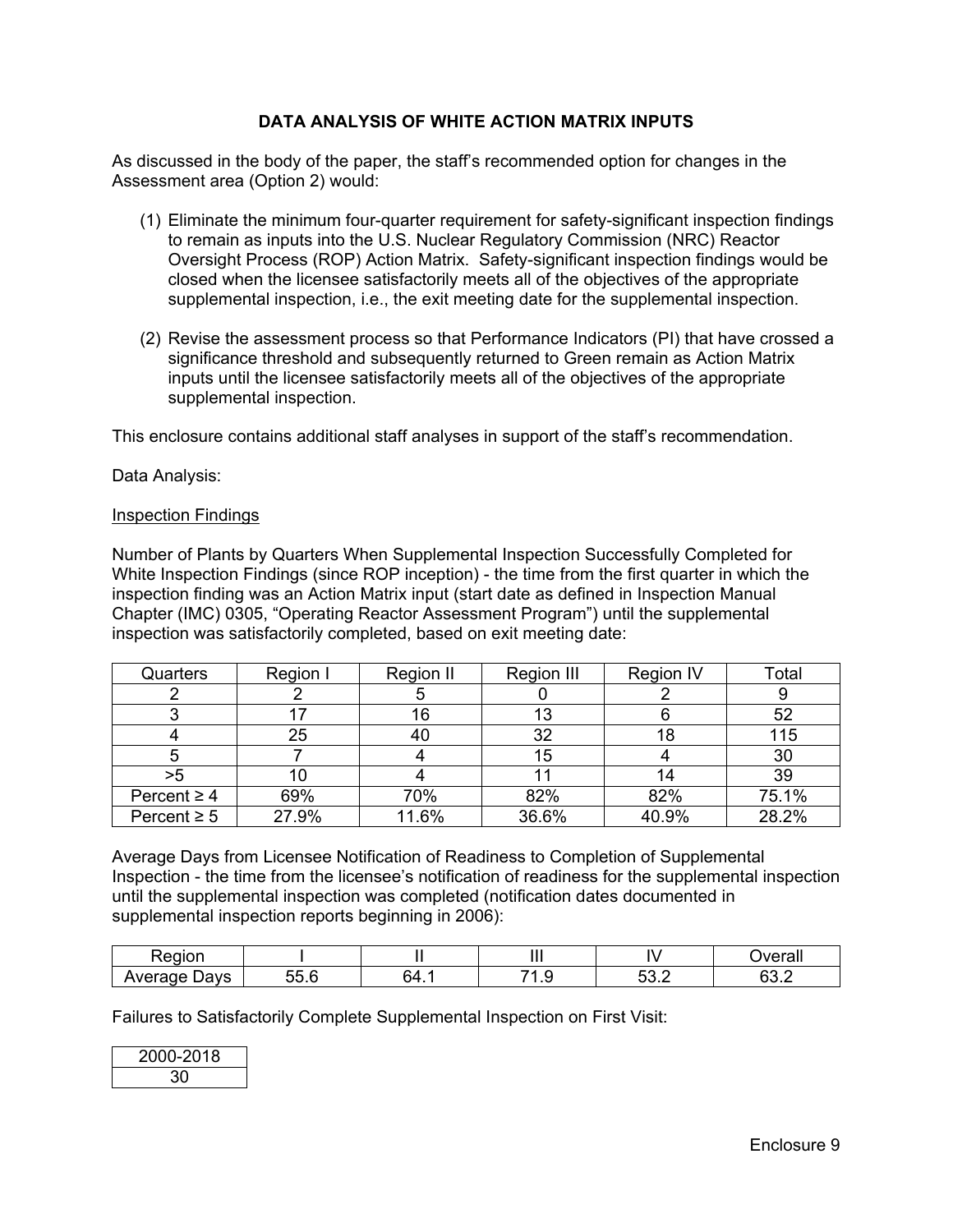# **DATA ANALYSIS OF WHITE ACTION MATRIX INPUTS**

As discussed in the body of the paper, the staff's recommended option for changes in the Assessment area (Option 2) would:

- (1) Eliminate the minimum four-quarter requirement for safety-significant inspection findings to remain as inputs into the U.S. Nuclear Regulatory Commission (NRC) Reactor Oversight Process (ROP) Action Matrix. Safety-significant inspection findings would be closed when the licensee satisfactorily meets all of the objectives of the appropriate supplemental inspection, i.e., the exit meeting date for the supplemental inspection.
- (2) Revise the assessment process so that Performance Indicators (PI) that have crossed a significance threshold and subsequently returned to Green remain as Action Matrix inputs until the licensee satisfactorily meets all of the objectives of the appropriate supplemental inspection.

This enclosure contains additional staff analyses in support of the staff's recommendation.

Data Analysis:

#### Inspection Findings

Number of Plants by Quarters When Supplemental Inspection Successfully Completed for White Inspection Findings (since ROP inception) - the time from the first quarter in which the inspection finding was an Action Matrix input (start date as defined in Inspection Manual Chapter (IMC) 0305, "Operating Reactor Assessment Program") until the supplemental inspection was satisfactorily completed, based on exit meeting date:

| Quarters         | Region I | Region II | Region III | <b>Region IV</b> | Total |
|------------------|----------|-----------|------------|------------------|-------|
|                  |          |           |            |                  |       |
|                  |          | 16        | 13         |                  | 52    |
|                  | 25       | 40        | 32         | 18               | 115   |
|                  |          |           | 15         |                  | 30    |
| >5               |          |           |            |                  | 39    |
| Percent $\geq 4$ | 69%      | 70%       | 82%        | 82%              | 75.1% |
| Percent $\geq 5$ | 27.9%    | 11.6%     | 36.6%      | 40.9%            | 28.2% |

Average Days from Licensee Notification of Readiness to Completion of Supplemental Inspection - the time from the licensee's notification of readiness for the supplemental inspection until the supplemental inspection was completed (notification dates documented in supplemental inspection reports beginning in 2006):

|               |                |                  | Ш     | $ -$         | $\mathbf{u}$<br>'alı |
|---------------|----------------|------------------|-------|--------------|----------------------|
| )avs<br>᠃<br> | ∽<br>--<br>. ג | <b>54</b><br>. . | . . U | - -<br>ັບປ.ພ | <b>^^</b><br>ے.ں     |

Failures to Satisfactorily Complete Supplemental Inspection on First Visit:

| 2000-2018 |  |
|-----------|--|
| חצ        |  |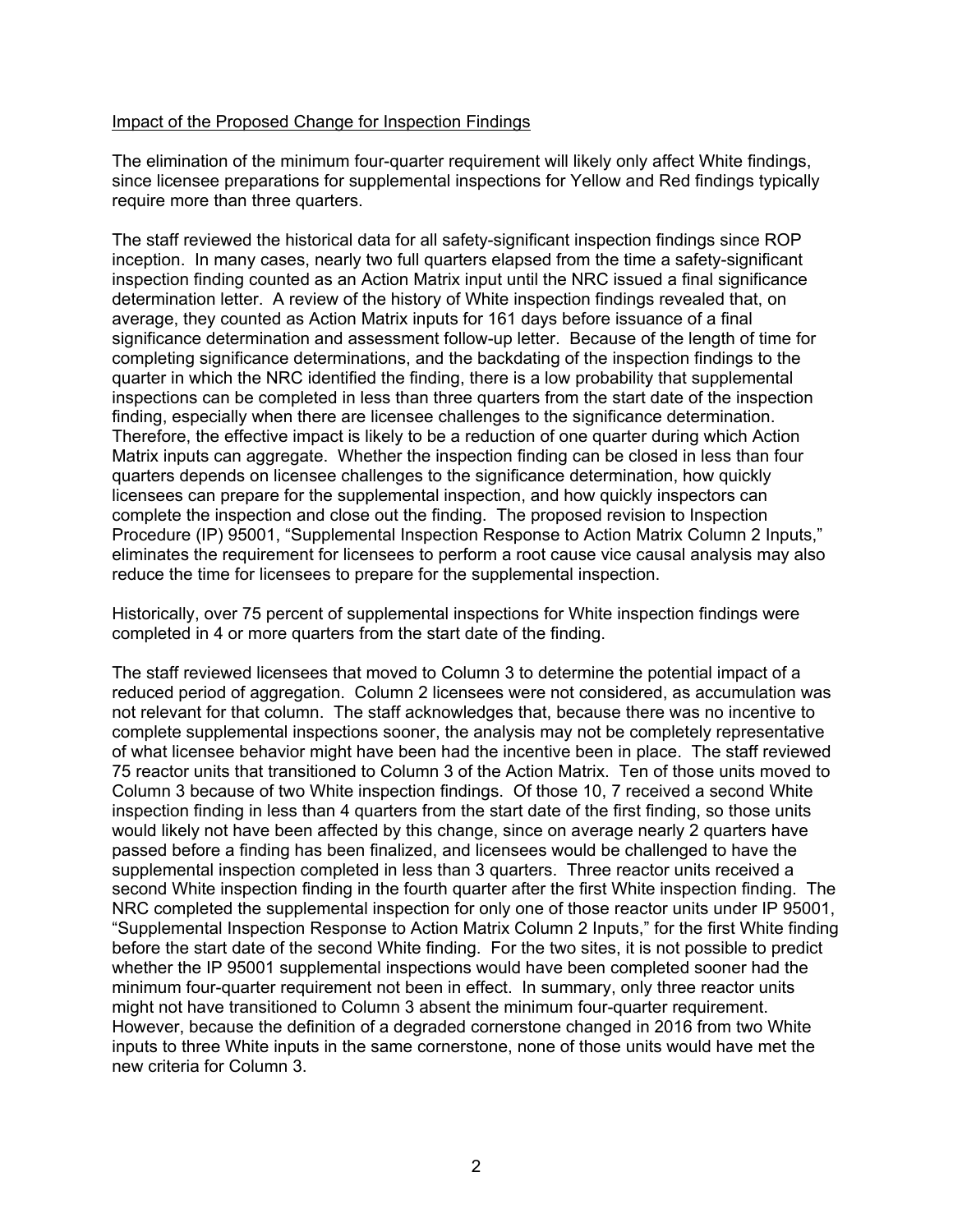### Impact of the Proposed Change for Inspection Findings

The elimination of the minimum four-quarter requirement will likely only affect White findings, since licensee preparations for supplemental inspections for Yellow and Red findings typically require more than three quarters.

The staff reviewed the historical data for all safety-significant inspection findings since ROP inception. In many cases, nearly two full quarters elapsed from the time a safety-significant inspection finding counted as an Action Matrix input until the NRC issued a final significance determination letter. A review of the history of White inspection findings revealed that, on average, they counted as Action Matrix inputs for 161 days before issuance of a final significance determination and assessment follow-up letter. Because of the length of time for completing significance determinations, and the backdating of the inspection findings to the quarter in which the NRC identified the finding, there is a low probability that supplemental inspections can be completed in less than three quarters from the start date of the inspection finding, especially when there are licensee challenges to the significance determination. Therefore, the effective impact is likely to be a reduction of one quarter during which Action Matrix inputs can aggregate. Whether the inspection finding can be closed in less than four quarters depends on licensee challenges to the significance determination, how quickly licensees can prepare for the supplemental inspection, and how quickly inspectors can complete the inspection and close out the finding. The proposed revision to Inspection Procedure (IP) 95001, "Supplemental Inspection Response to Action Matrix Column 2 Inputs," eliminates the requirement for licensees to perform a root cause vice causal analysis may also reduce the time for licensees to prepare for the supplemental inspection.

Historically, over 75 percent of supplemental inspections for White inspection findings were completed in 4 or more quarters from the start date of the finding.

The staff reviewed licensees that moved to Column 3 to determine the potential impact of a reduced period of aggregation. Column 2 licensees were not considered, as accumulation was not relevant for that column. The staff acknowledges that, because there was no incentive to complete supplemental inspections sooner, the analysis may not be completely representative of what licensee behavior might have been had the incentive been in place. The staff reviewed 75 reactor units that transitioned to Column 3 of the Action Matrix. Ten of those units moved to Column 3 because of two White inspection findings. Of those 10, 7 received a second White inspection finding in less than 4 quarters from the start date of the first finding, so those units would likely not have been affected by this change, since on average nearly 2 quarters have passed before a finding has been finalized, and licensees would be challenged to have the supplemental inspection completed in less than 3 quarters. Three reactor units received a second White inspection finding in the fourth quarter after the first White inspection finding. The NRC completed the supplemental inspection for only one of those reactor units under IP 95001, "Supplemental Inspection Response to Action Matrix Column 2 Inputs," for the first White finding before the start date of the second White finding. For the two sites, it is not possible to predict whether the IP 95001 supplemental inspections would have been completed sooner had the minimum four-quarter requirement not been in effect. In summary, only three reactor units might not have transitioned to Column 3 absent the minimum four-quarter requirement. However, because the definition of a degraded cornerstone changed in 2016 from two White inputs to three White inputs in the same cornerstone, none of those units would have met the new criteria for Column 3.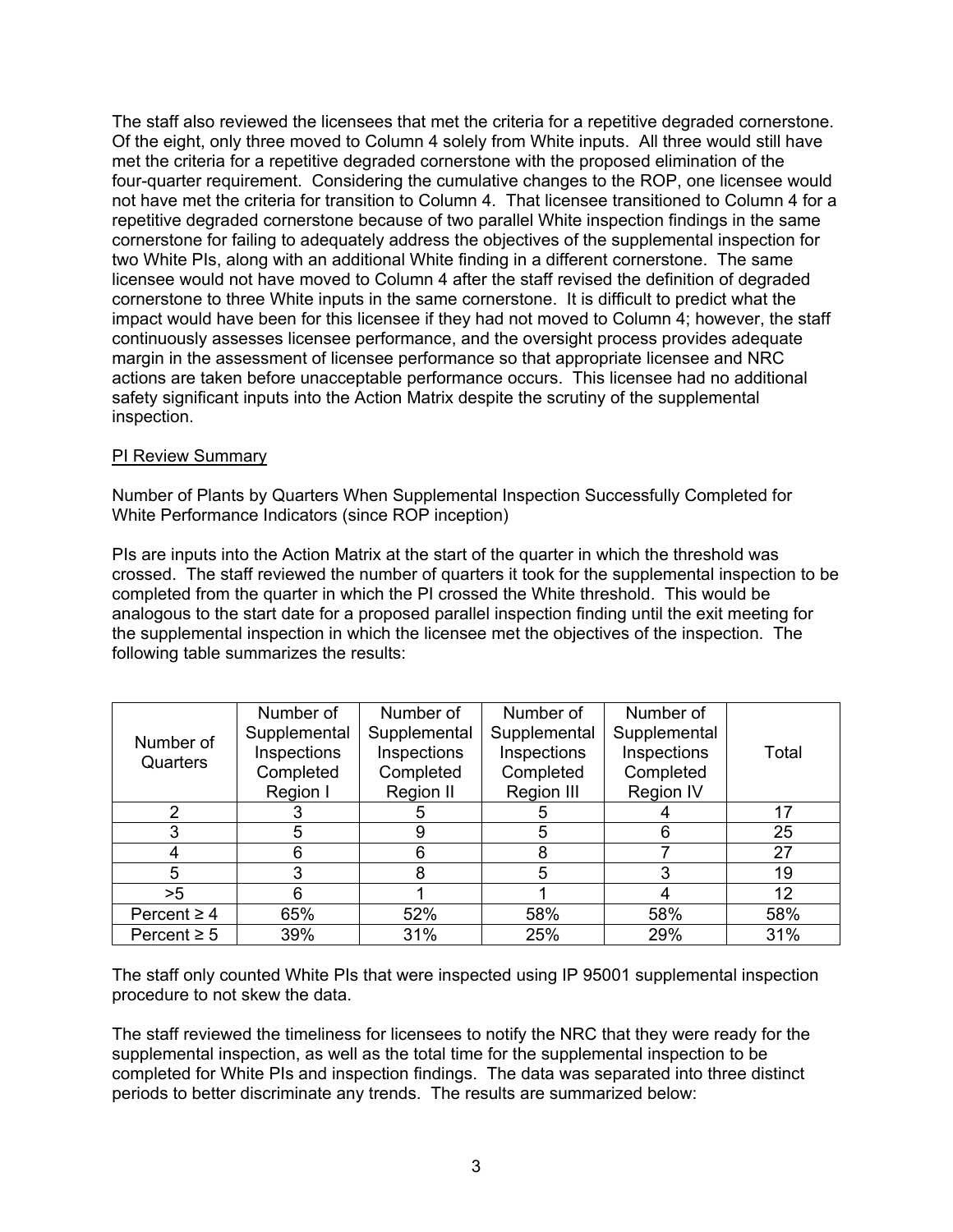The staff also reviewed the licensees that met the criteria for a repetitive degraded cornerstone. Of the eight, only three moved to Column 4 solely from White inputs. All three would still have met the criteria for a repetitive degraded cornerstone with the proposed elimination of the four-quarter requirement. Considering the cumulative changes to the ROP, one licensee would not have met the criteria for transition to Column 4. That licensee transitioned to Column 4 for a repetitive degraded cornerstone because of two parallel White inspection findings in the same cornerstone for failing to adequately address the objectives of the supplemental inspection for two White PIs, along with an additional White finding in a different cornerstone. The same licensee would not have moved to Column 4 after the staff revised the definition of degraded cornerstone to three White inputs in the same cornerstone. It is difficult to predict what the impact would have been for this licensee if they had not moved to Column 4; however, the staff continuously assesses licensee performance, and the oversight process provides adequate margin in the assessment of licensee performance so that appropriate licensee and NRC actions are taken before unacceptable performance occurs. This licensee had no additional safety significant inputs into the Action Matrix despite the scrutiny of the supplemental inspection.

# PI Review Summary

Number of Plants by Quarters When Supplemental Inspection Successfully Completed for White Performance Indicators (since ROP inception)

PIs are inputs into the Action Matrix at the start of the quarter in which the threshold was crossed. The staff reviewed the number of quarters it took for the supplemental inspection to be completed from the quarter in which the PI crossed the White threshold. This would be analogous to the start date for a proposed parallel inspection finding until the exit meeting for the supplemental inspection in which the licensee met the objectives of the inspection. The following table summarizes the results:

| Number of        | Number of    | Number of    | Number of    | Number of        |       |
|------------------|--------------|--------------|--------------|------------------|-------|
|                  | Supplemental | Supplemental | Supplemental | Supplemental     |       |
| Quarters         | Inspections  | Inspections  | Inspections  | Inspections      | Total |
|                  | Completed    | Completed    | Completed    | Completed        |       |
|                  | Region I     | Region II    | Region III   | <b>Region IV</b> |       |
| $\mathfrak{D}$   |              | :5           | 5            |                  |       |
| 3                | 5            | 9            | 5            | 6                | 25    |
| 4                |              | 6            | 8            |                  | 27    |
| 5                | 3            | 8            | 5            |                  | 19    |
| >5               |              |              |              |                  | 12    |
| Percent $\geq 4$ | 65%          | 52%          | 58%          | 58%              | 58%   |
| Percent $\geq 5$ | 39%          | 31%          | 25%          | 29%              | 31%   |

The staff only counted White PIs that were inspected using IP 95001 supplemental inspection procedure to not skew the data.

The staff reviewed the timeliness for licensees to notify the NRC that they were ready for the supplemental inspection, as well as the total time for the supplemental inspection to be completed for White PIs and inspection findings. The data was separated into three distinct periods to better discriminate any trends. The results are summarized below: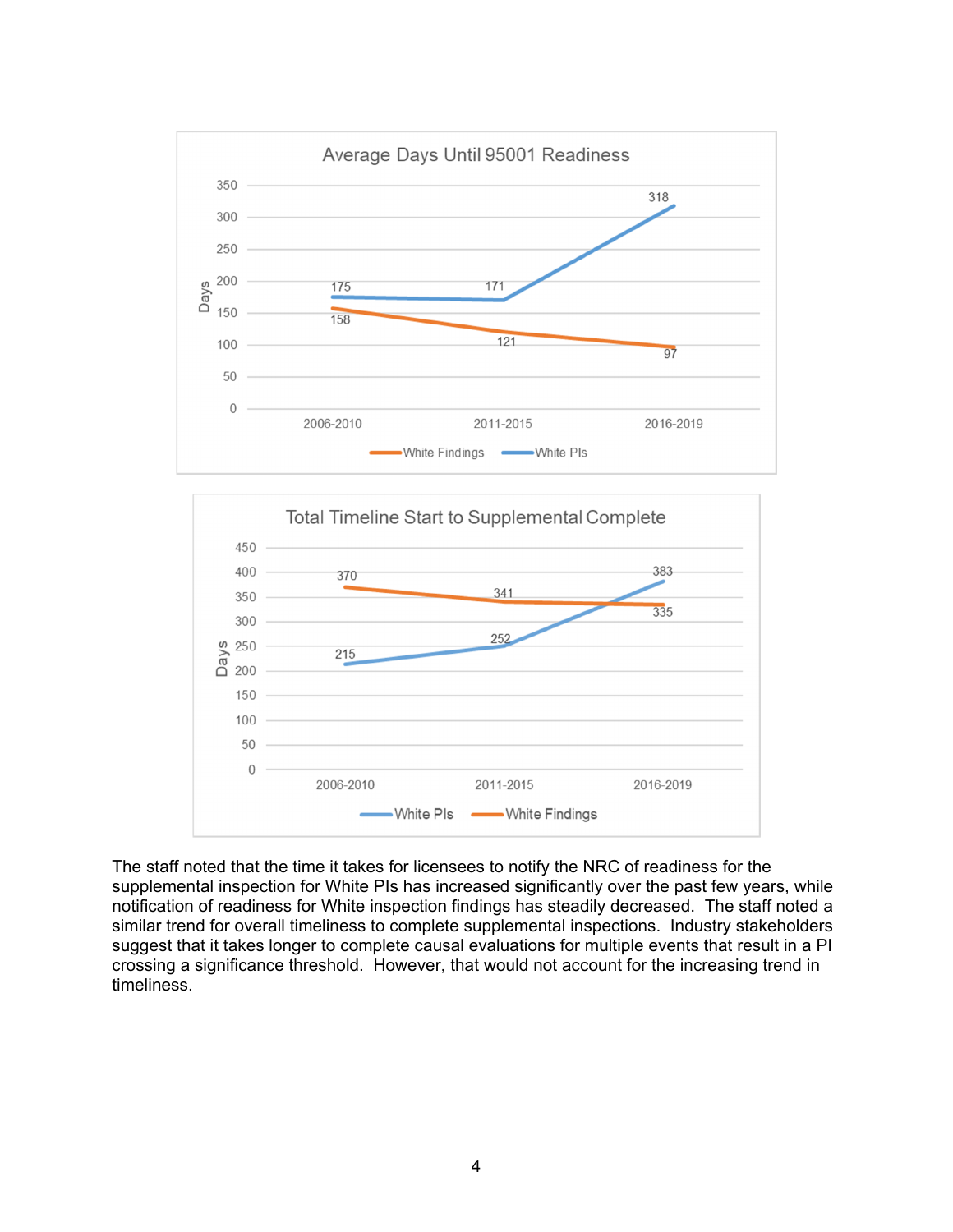



The staff noted that the time it takes for licensees to notify the NRC of readiness for the supplemental inspection for White PIs has increased significantly over the past few years, while notification of readiness for White inspection findings has steadily decreased. The staff noted a similar trend for overall timeliness to complete supplemental inspections. Industry stakeholders suggest that it takes longer to complete causal evaluations for multiple events that result in a PI crossing a significance threshold. However, that would not account for the increasing trend in timeliness.